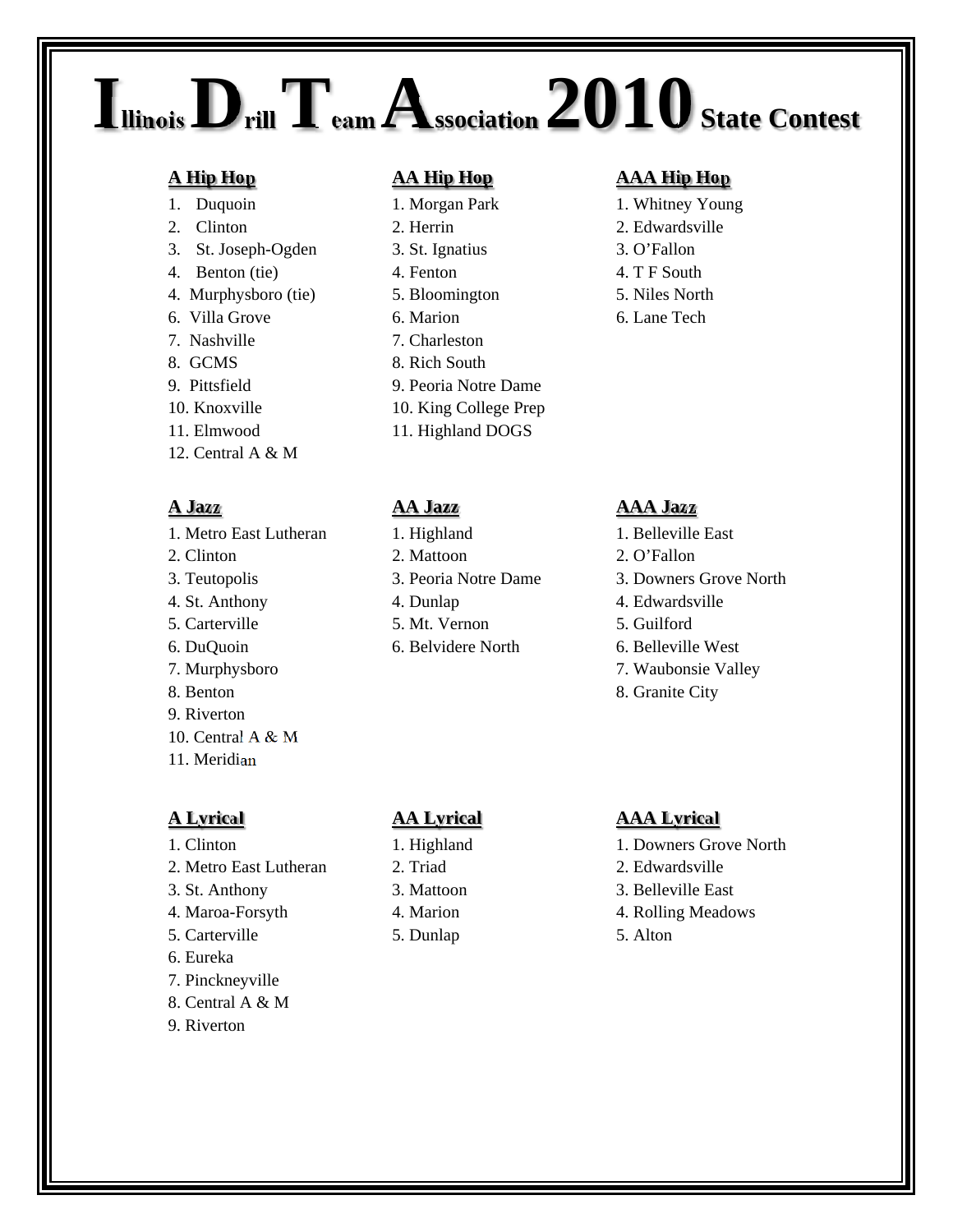## **IllinoisDrillTeam Association 2010 State Contest**

- 
- 
- 3. St. Joseph-Ogden 3. St. Ignatius 3. O'Fallon
- 4. Benton (tie) 4. Fenton 4. T F South
- 4. Murphysboro (tie) 5. Bloomington 5. Niles North
- 
- 
- 
- 
- 
- 
- 12. Central A & M

1. Metro East Lutheran 1. Highland 1. Belleville East 2. Clinton 2. Mattoon 2. O'Fallon 3. Teutopolis 3. Peoria Notre Dame 3. Downers Grove North 4. St. Anthony 4. Dunlap 4. Edwardsville 5. Carterville 5. Mt. Vernon 5. Guilford 6. DuQuoin 6. Belvidere North 6. Belleville West 7. Murphysboro 7. Waubonsie Valley 8. Benton 8. Granite City 9. Riverton 10. Central A & M 11. Meridian

- 
- 2. Metro East Lutheran 2. Triad 2. Edwardsville
- 
- 
- 5. Carterville 5. Dunlap 5. Alton
- 6. Eureka
- 7. Pinckneyville
- 8. Central A & M
- 9. Riverton

- 
- 
- 
- 
- 
- 
- 7. Nashville 7. Charleston
- 8. GCMS 8. Rich South
- 9. Pittsfield 9. Peoria Notre Dame
- 10. Knoxville 10. King College Prep
- 11. Elmwood 11. Highland DOGS

- 
- 
- 
- 

- 
- 
- 
- 
- 

## **A Hip Hop AA Hip Hop AAA Hip Hop**

- 1. Duquoin 1. Morgan Park 1. Whitney Young
- 2. Clinton 2. Herrin 2. Edwardsville
	-
	-
	-
- 6. Villa Grove 6. Marion 6. Lane Tech

## **A Jazz AA Jazz AAA Jazz**

- 
- 
- 
- 
- 
- 
- 
- 

## **A Lyrical AA Lyrical AAA Lyrical**

- 1. Clinton 1. Highland 1. Downers Grove North
	-
- 3. St. Anthony 3. Mattoon 3. Belleville East
- 4. Maroa-Forsyth 4. Marion 4. Rolling Meadows
	-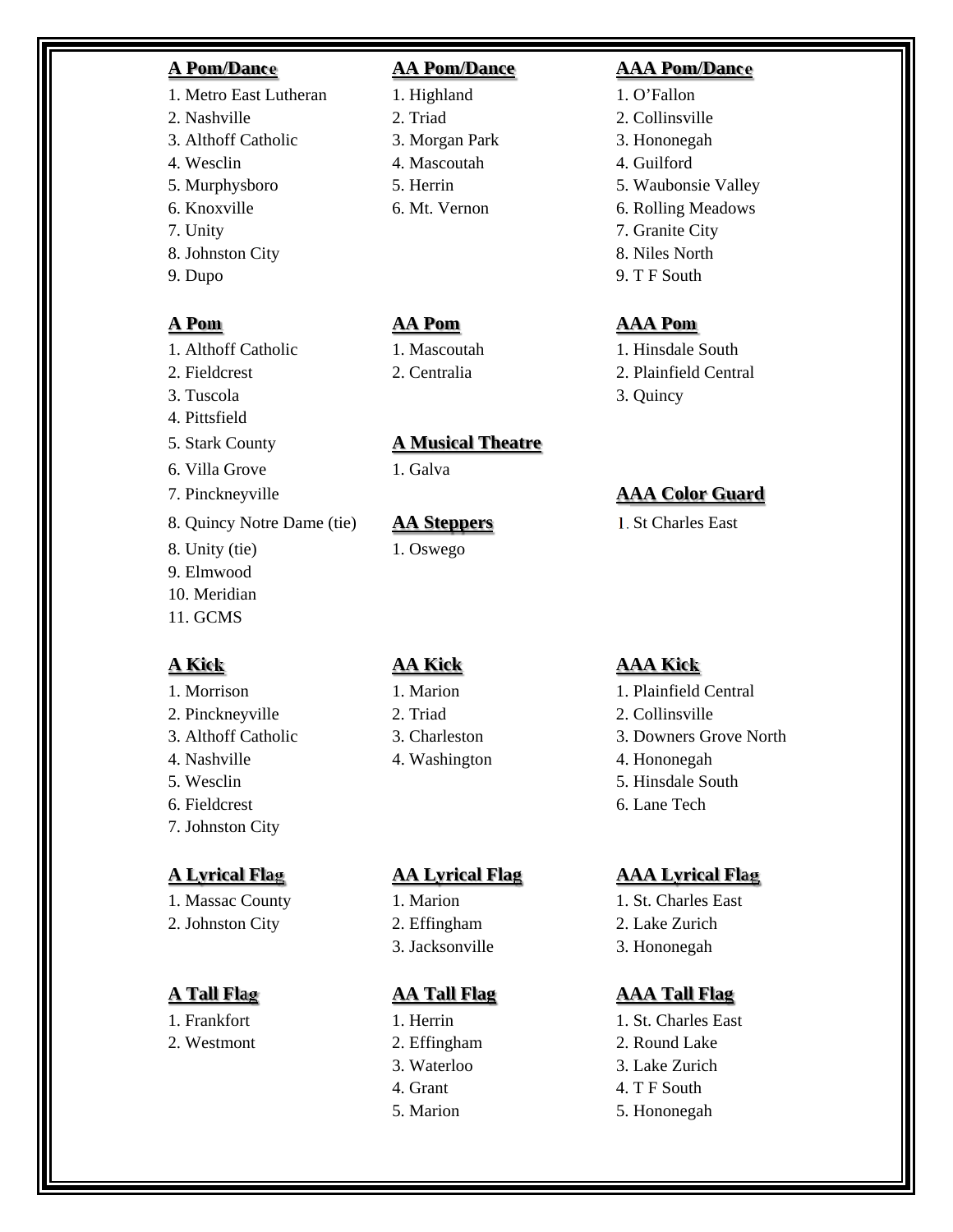- 1. Metro East Lutheran 1. Highland 1. O'Fallon 2. Nashville 2. Triad 2. Collinsville 3. Althoff Catholic 3. Morgan Park 3. Hononegah
- 
- 
- 
- 
- 
- 

- 1. Althoff Catholic 1. Mascoutah 1. Hinsdale South
- 
- 
- 4. Pittsfield
- 
- 
- 
- 8. Quincy Notre Dame (tie) **AA Steppers** 1. St Charles East
- 8. Unity (tie) 1. Oswego
- 9. Elmwood 10. Meridian
- 11. GCMS

2. Pinckneyville 2. Triad 2. Collinsville 4. Nashville 4. Washington 4. Hononegah 5. Wesclin 5. Hinsdale South 6. Fieldcrest 6. Lane Tech 7. Johnston City

1. Massac County 1. Marion 1. St. Charles East 2. Johnston City 2. Effingham 2. Lake Zurich

2. Westmont 2. Effingham 2. Round Lake

4. Wesclin 4. Mascoutah 4. Guilford

## 5. Stark County **A Musical Theatre**

6. Villa Grove 1. Galva

- 
- 

- 
- 3. Waterloo 3. Lake Zurich
- 
- 

## **A Pom/Dance AA Pom/Dance AAA Pom/Dance**

- 5. Murphysboro 5. Herrin 5. Waubonsie Valley
- 6. Knoxville 6. Mt. Vernon 6. Rolling Meadows
- 7. Unity 7. Granite City
- 8. Johnston City 8. Niles North
- 9. Dupo 9. T F South

## **A Pom AA Pom AAA Pom**

- 
- 2. Fieldcrest 2. Centralia 2. Plainfield Central
- 3. Tuscola 3. Quincy

## 7. Pinckneyville **AAA Color Guard**

## **A Kick AA Kick AAA Kick**

- 1. Morrison 1. Marion 1. Marion 1. Plainfield Central
	-
- 3. Althoff Catholic 3. Charleston 3. Downers Grove North
	-
	-
	-

## **A Lyrical Flag AA Lyrical Flag AAA Lyrical Flag**

- 
- 
- 3. Jacksonville 3. Hononegah

- 1. Frankfort 1. Herrin 1. St. Charles East
	-
	-
	- 4. Grant 4. T F South
	- 5. Marion 5. Hononegah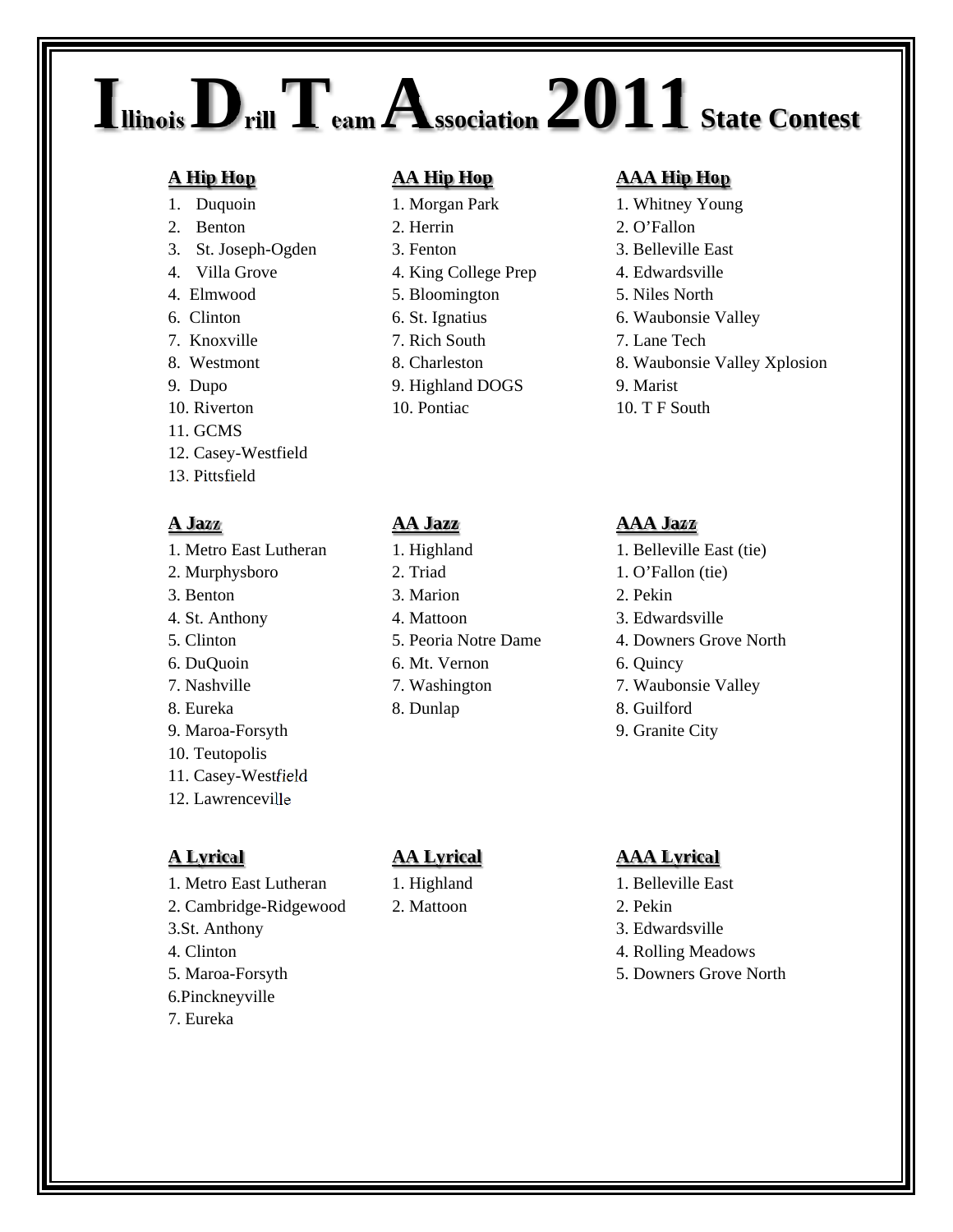## **IllinoisDrillTeam Association 2011 State Contest**

- 
- 
- 
- 
- 4. Elmwood 5. Bloomington 5. Niles North
- 
- 7. Knoxville 7. Rich South 7. Lane Tech
- 
- 
- 
- 11. GCMS
- 12. Casey-Westfield
- 13. Pittsfield

2. Murphysboro 2. Triad 1. O'Fallon (tie) 3. Benton 3. Marion 2. Pekin 4. St. Anthony 4. Mattoon 3. Edwardsville 5. Clinton 5. Peoria Notre Dame 4. Downers Grove North 6. DuQuoin 6. Mt. Vernon 6. Quincy 7. Nashville 7. Washington 7. Waubonsie Valley 8. Eureka 18. Dunlap 18. Guilford 9. Maroa-Forsyth 9. Granite City 10. Teutopolis 11. Casey-Westfield 12. Lawrenceville

- 1. Metro East Lutheran 1. Highland 1. Belleville East
- 2. Cambridge-Ridgewood 2. Mattoon 2. Pekin
- 3.St. Anthony 3. Edwardsville
- 
- 
- 6.Pinckneyville
- 7. Eureka

- 1. Duquoin 1. Morgan Park 1. Whitney Young 2. Benton 2. Herrin 2. O'Fallon 3. St. Joseph-Ogden 3. Fenton 3. Belleville East 4. Villa Grove 4. King College Prep 4. Edwardsville
	-
	-
	-
	-
- 9. Dupo 9. Highland DOGS 9. Marist
	-

- 1. Metro East Lutheran 1. Highland 1. Belleville East (tie)
	-

## **A Hip Hop AA Hip Hop AAA Hip Hop**

- 
- 
- 
- 
- 
- 6. Clinton 6. St. Ignatius 6. Waubonsie Valley
	-
- 8. Westmont 8. Charleston 8. Waubonsie Valley Xplosion
	-
- 10. Riverton 10. Pontiac 10. T F South

## **A Jazz AA Jazz AAA Jazz**

- 
- 
- 
- 
- 
- 
- 
- 
- 

## **A Lyrical AA Lyrical AAA Lyrical**

- 
- 
- 
- 4. Clinton 4. Clinton 4. Rolling Meadows
- 5. Maroa-Forsyth 5. Downers Grove North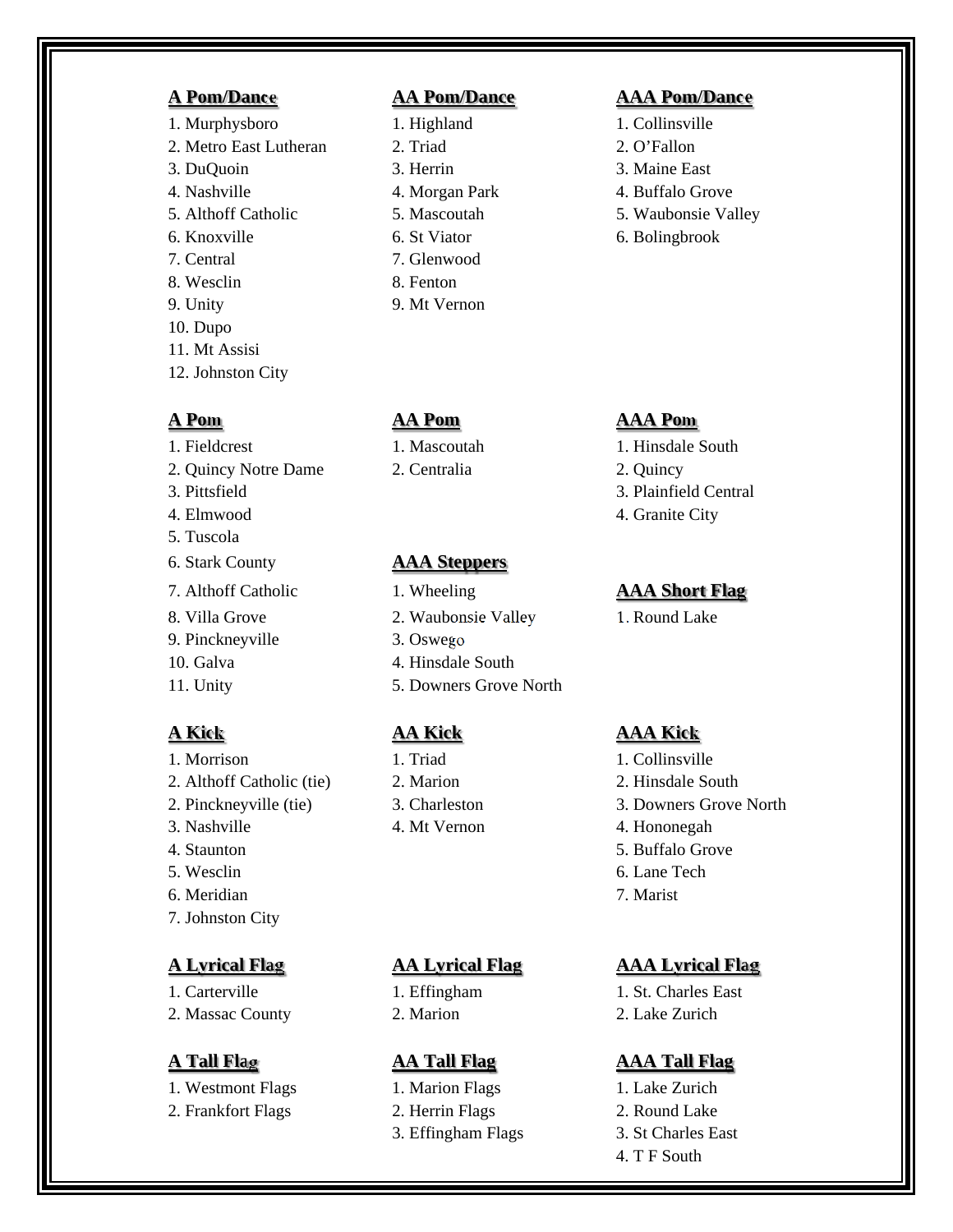1. Murphysboro 1. Highland 1. Collinsville 2. Metro East Lutheran 2. Triad 2. O'Fallon 3. DuQuoin 3. Herrin 3. Maine East 4. Nashville 4. Morgan Park 4. Buffalo Grove 5. Althoff Catholic 5. Mascoutah 5. Waubonsie Valley 6. Knoxville 6. St Viator 6. Bolingbrook 7. Central 7. Glenwood 8. Wesclin 8. Fenton 9. Unity 9. Mt Vernon 10. Dupo 11. Mt Assisi 12. Johnston City

- 1. Fieldcrest 1. Mascoutah 1. Hinsdale South 2. Quincy Notre Dame 2. Centralia 2. Quincy 3. Pittsfield 3. Plainfield Central 4. Elmwood 4. Granite City 5. Tuscola 6. Stark County **AAA Steppers** 7. Althoff Catholic 1. Wheeling **AAA Short Flag** 8. Villa Grove 2. Waubonsie Valley 1. Round Lake
- 9. Pinckneyville 3. Oswego
- 
- 

- 1. Morrison 1. Triad 1. Collinsville 2. Althoff Catholic (tie) 2. Marion 2. Hinsdale South
- 
- 
- 
- 6. Meridian 7. Marist
- 7. Johnston City

2. Massac County 2. Marion 2. Lake Zurich

- 1. Westmont Flags 1. Marion Flags 1. Lake Zurich
- 2. Frankfort Flags 2. Herrin Flags 2. Round Lake

- 
- 
- 
- 
- 

- 
- 
- 
- 10. Galva 4. Hinsdale South
- 11. Unity 5. Downers Grove North

- 
- 

## **A Pom/Dance AA Pom/Dance AAA Pom/Dance**

- 
- 
- 
- 
- 
- 

## **A Pom AA Pom AAA Pom**

- 
- 
- 
- 

## **A Kick AA Kick AAA Kick**

- 
- 
- 2. Pinckneyville (tie) 3. Charleston 3. Downers Grove North
- 3. Nashville 4. Mt Vernon 4. Hononegah
- 4. Staunton 5. Buffalo Grove
- 5. Wesclin 6. Lane Tech
	-

## **A Lyrical Flag AA Lyrical Flag AAA Lyrical Flag**

1. Carterville 1. Effingham 1. St. Charles East

- 3. Effingham Flags 3. St Charles East
	- - 4. T F South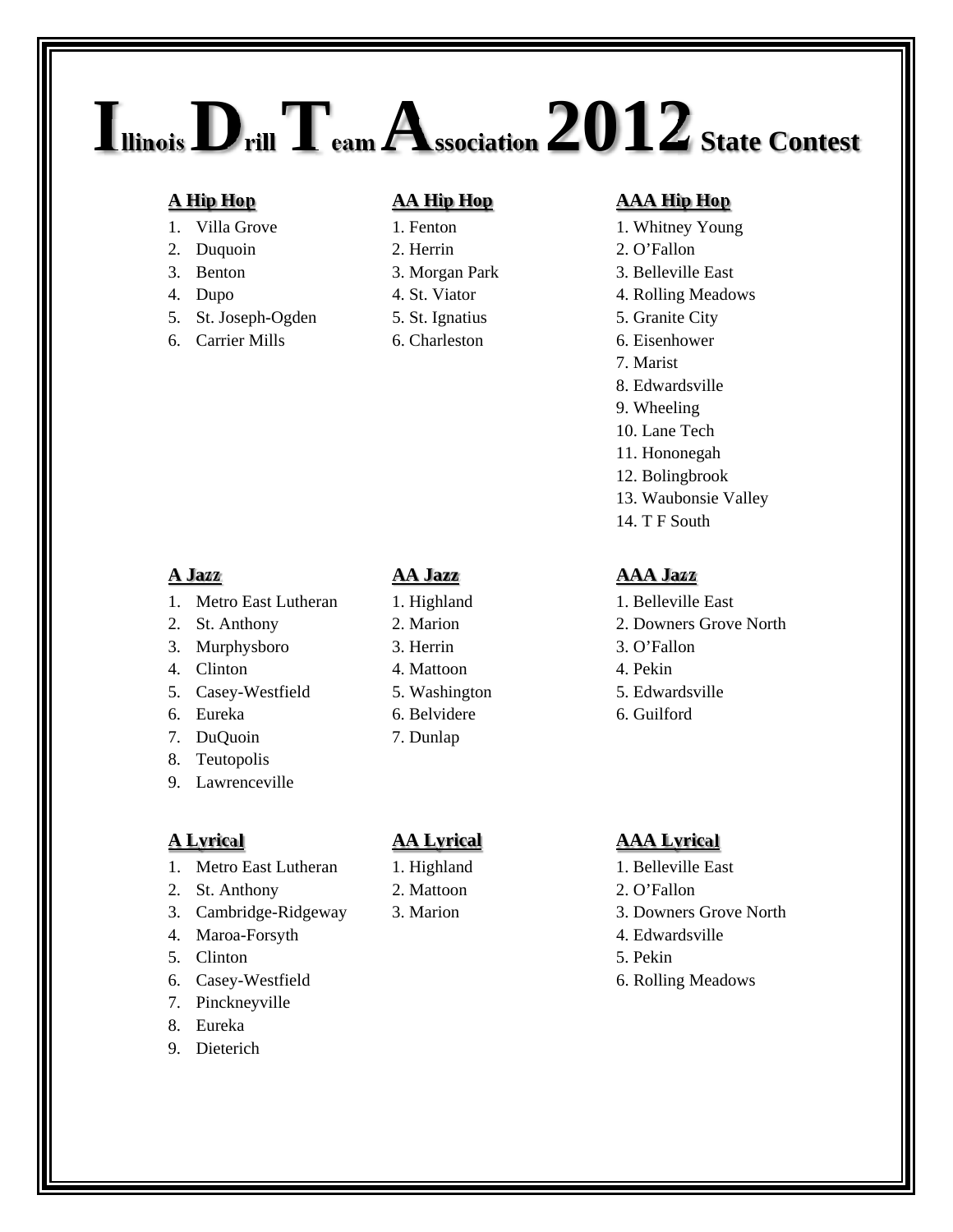## **IllinoisDrillTeam Association 2012 State Contest**

- 
- 
- 
- 
- 5. St. Joseph-Ogden 5. St. Ignatius 5. Granite City
- 

- 
- 2. Duquoin 2. Herrin 2. O'Fallon
	-
	-
	-
- 6. Carrier Mills 6. Charleston 6. Eisenhower

## **A Hip Hop AA Hip Hop AAA Hip Hop**

- 1. Villa Grove 1. Fenton 1. Whitney Young
	-
- 3. Benton 3. Morgan Park 3. Belleville East
- 4. Dupo 4. St. Viator 4. Rolling Meadows
	-
	-
	- 7. Marist
	- 8. Edwardsville
	- 9. Wheeling
	- 10. Lane Tech
	- 11. Hononegah
	- 12. Bolingbrook
	- 13. Waubonsie Valley
	- 14. T F South

- 1. Metro East Lutheran 1. Highland 1. Belleville East
- 
- 3. Murphysboro 3. Herrin 3. O'Fallon
- 4. Clinton 4. Mattoon 4. Pekin
- 5. Casey-Westfield 5. Washington 5. Edwardsville
- 
- 7. DuQuoin 7. Dunlap
- 8. Teutopolis
- 9. Lawrenceville

- 1. Metro East Lutheran 1. Highland 1. Belleville East
- 2. St. Anthony 2. Mattoon 2. O'Fallon
- 3. Cambridge-Ridgeway 3. Marion 3. Downers Grove North
- 4. Maroa-Forsyth 4. Edwardsville
- 5. Clinton 5. Pekin
- 6. Casey-Westfield 6. Rolling Meadows
- 7. Pinckneyville
- 8. Eureka
- 9. Dieterich

- 
- 
- 
- 
- 
- 6. Eureka 6. Belvidere 6. Guilford

- 
- 
- 

## **A Jazz AA Jazz AAA Jazz**

- 
- 2. St. Anthony 2. Marion 2. Downers Grove North
	-
	-
	-
	-

## **A Lyrical AA Lyrical AAA Lyrical**

- 
- 
- 
- 
- 
- 
- 
- 
-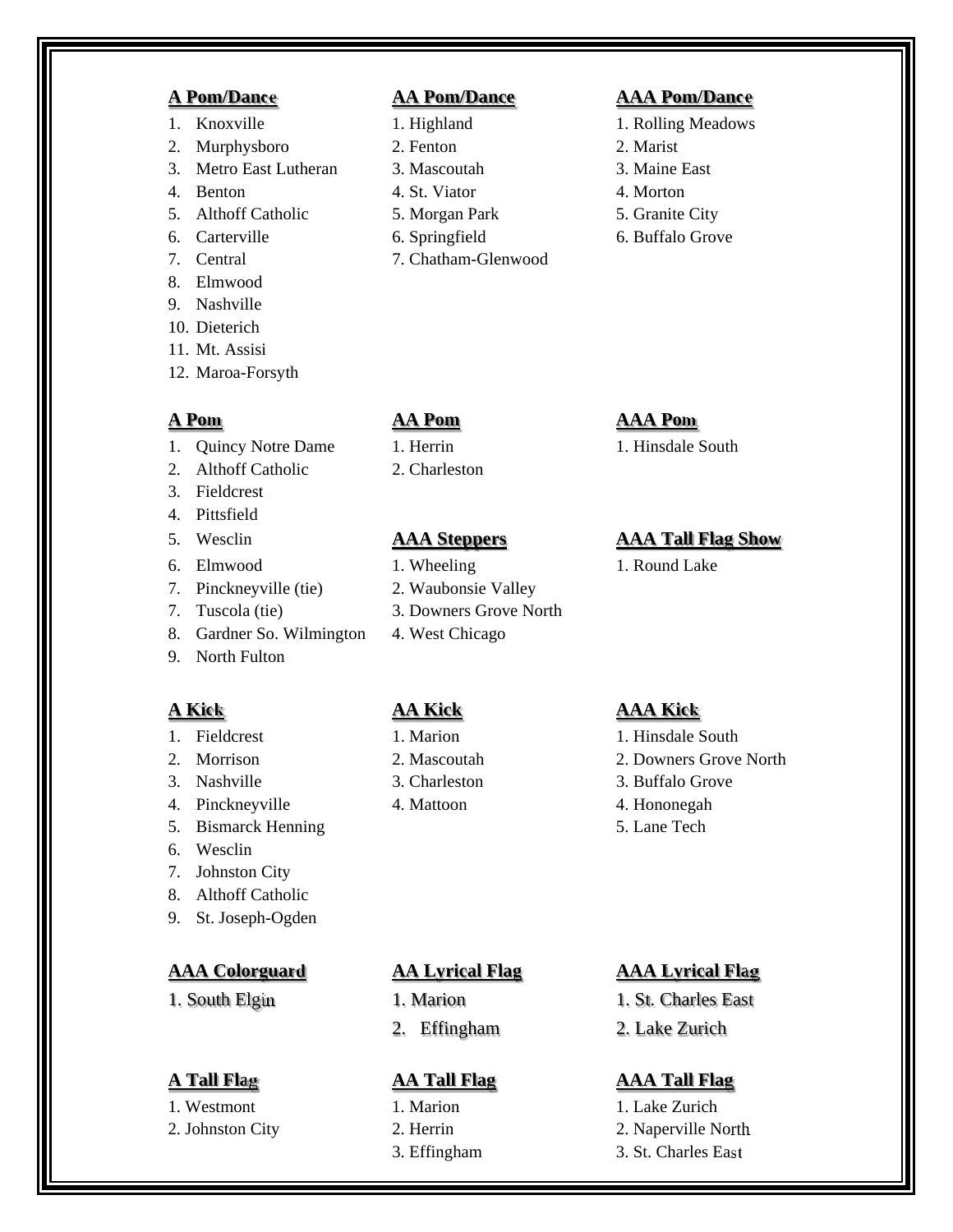- 
- 2. Murphysboro 2. Fenton 2. Marist
- 3. Metro East Lutheran 3. Mascoutah 3. Maine East
- 4. Benton 4. St. Viator 4. Morton
- 5. Althoff Catholic 5. Morgan Park 5. Granite City
- 
- 
- 8. Elmwood
- 9. Nashville
- 10. Dieterich
- 11. Mt. Assisi
- 12. Maroa-Forsyth

- 1. Quincy Notre Dame 1. Herrin 1. Hinsdale South
- 2. Althoff Catholic 2. Charleston
- 3. Fieldcrest
- 4. Pittsfield
- 
- 6. Elmwood 1. Wheeling 1. Round Lake
- 7. Pinckneyville (tie) 2. Waubonsie Valley
- 7. Tuscola (tie) 3. Downers Grove North
- 8. Gardner So. Wilmington 4. West Chicago
- 9. North Fulton

- 
- 
- 
- 
- 5. Bismarck Henning 5. Lane Tech
- 6. Wesclin
- 7. Johnston City
- 8. Althoff Catholic
- 9. St. Joseph-Ogden

- 
- 

- 
- 
- 
- 
- 
- 
- 7. Central 7. Chatham-Glenwood

## **A Pom/Dance AA Pom/Dance AAA Pom/Dance**

- 1. Knoxville 1. Highland 1. Rolling Meadows
	-
	-
	-
	-
- 6. Carterville 6. Springfield 6. Buffalo Grove

## **A Pom AA Pom AAA Pom**

## 5. Wesclin **AAA Steppers AAA Tall Flag Show**

- 
- 
- 
- 

## **A Kick AA Kick AAA Kick**

- 1. Fieldcrest 1. Marion 1. Marion 1. Hinsdale South
- 2. Morrison 2. Mascoutah 2. Downers Grove North
- 3. Nashville 3. Charleston 3. Buffalo Grove
	-
	-

- 
- 

## **AAA Colorguard AA Lyrical Flag AAA Lyrical Flag**

- 1. South Elgin 1. Marion 1. St. Charles East
	- 2. Effingham 2. Lake Zurich

- 1. Westmont 1. Marion 1. Marion 1. Lake Zurich
- 2. Johnston City 2. Herrin 2. Naperville North
	- 3. Effingham 3. St. Charles East

- 
- 
- 
- 

- 
- 
- 4. Pinckneyville 4. Mattoon 4. Hononegah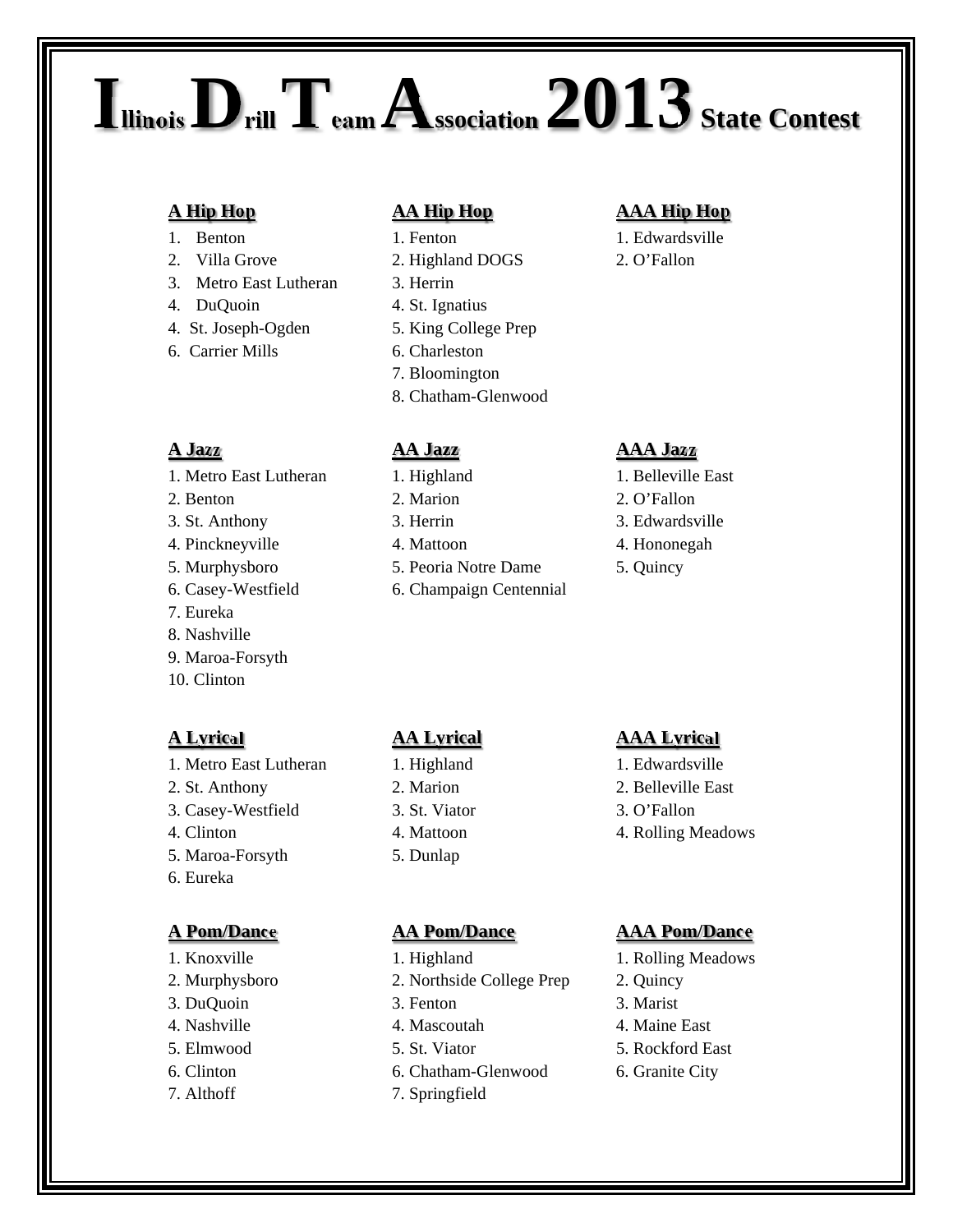# **IllinoisDrillTeam Association 2013 State Contest**

- 
- 2. Villa Grove 2. Highland DOGS 2. O'Fallon
- 3. Metro East Lutheran 3. Herrin
- 4. DuQuoin 4. St. Ignatius
- 4. St. Joseph-Ogden 5. King College Prep
- 6. Carrier Mills 6. Charleston

- 1. Metro East Lutheran 1. Highland 1. Belleville East
- 
- 
- 
- 
- 
- 7. Eureka
- 8. Nashville
- 9. Maroa-Forsyth
- 10. Clinton

- 1. Metro East Lutheran 1. Highland 1. Edwardsville
- 
- 3. Casey-Westfield 3. St. Viator 3. O'Fallon
- 
- 5. Maroa-Forsyth 5. Dunlap
- 6. Eureka

- 
- 2. Murphysboro 2. Northside College Prep 2. Quincy
- 3. DuQuoin 3. Fenton 3. Marist
- 
- 
- 
- 

- 
- 
- 
- 
- 
- 
- 7. Bloomington
- 8. Chatham-Glenwood

- 
- 
- 
- 5. Murphysboro 5. Peoria Notre Dame 5. Quincy
- 6. Casey-Westfield 6. Champaign Centennial

## **A Hip Hop AA Hip Hop AAA Hip Hop**

1. Benton 1. Fenton 1. Edwardsville

## **A Jazz AA Jazz AAA Jazz**

- 
- 
- 3. St. Anthony 3. Herrin 3. Edwardsville
- 4. Pinckneyville 4. Mattoon 4. Mononegah
	-

## **A Lyrical AA Lyrical AAA Lyrical**

- 
- 2. St. Anthony 2. Marion 2. Belleville East
	-
- 4. Clinton 4. Mattoon 4. Rolling Meadows

## **A Pom/Dance AA Pom/Dance AAA Pom/Dance**

- 1. Knoxville 1. Highland 1. Rolling Meadows
	-
	-
- 4. Nashville 4. Mascoutah 4. Maine East
- 5. Elmwood 5. St. Viator 5. Rockford East
- 6. Clinton 6. Chatham-Glenwood 6. Granite City
- 7. Althoff 7. Springfield
- 2. Benton 2. Marion 2. Marion 2. O'Fallon
	- -
	- -
		- -
		-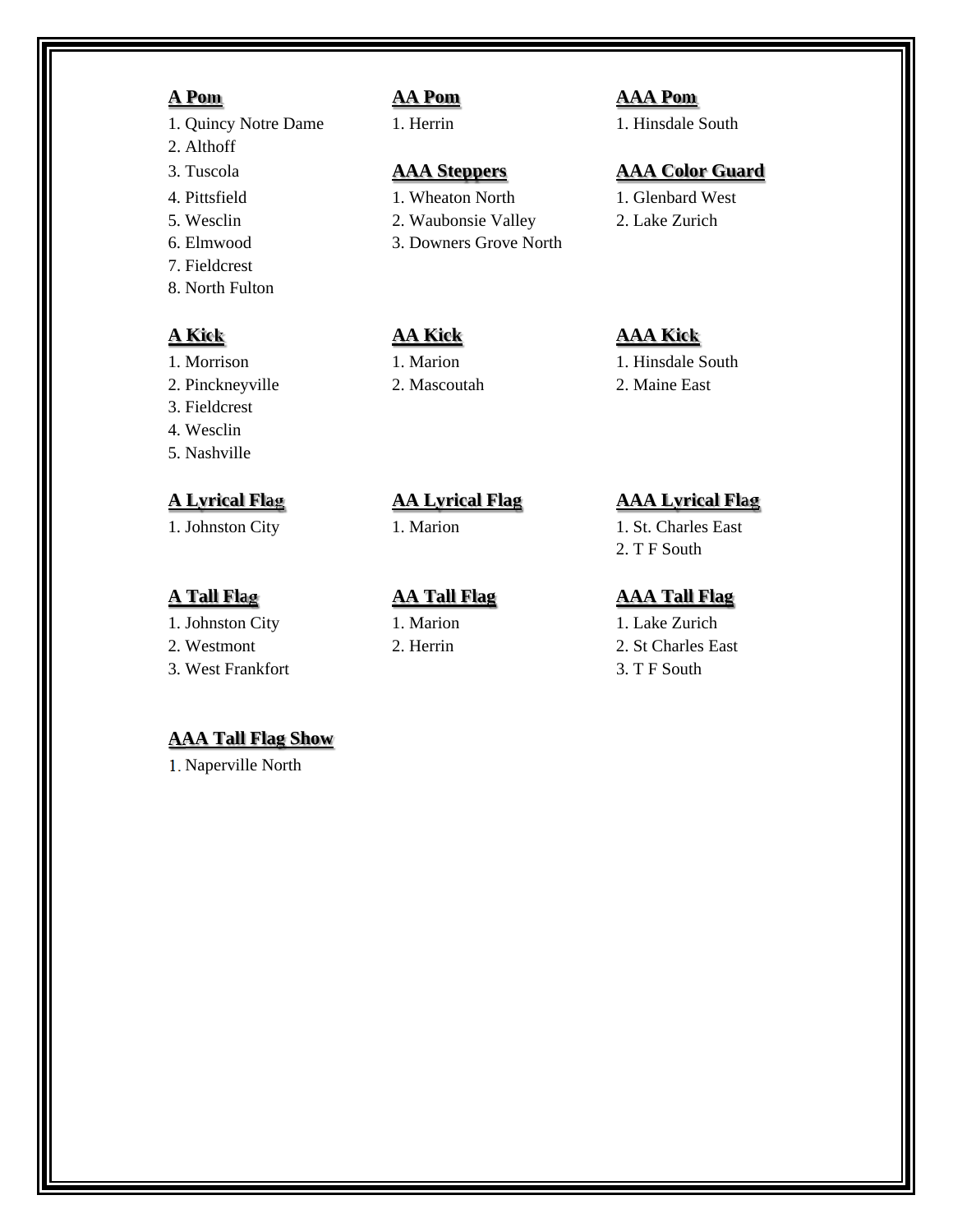- 1. Quincy Notre Dame 1. Herrin 1. Hinsdale South
- 2. Althoff
- 
- 
- 
- 
- 7. Fieldcrest
- 8. North Fulton

- 
- 2. Pinckneyville 2. Mascoutah 2. Maine East
- 3. Fieldcrest
- 4. Wesclin
- 5. Nashville

1. Johnston City 1. Marion 1. Lake Zurich

- 
- 

## **AAA Tall Flag Show**

1. Naperville North

- 4. Pittsfield 1. Wheaton North 1. Glenbard West
- 5. Wesclin 2. Waubonsie Valley 2. Lake Zurich
- 6. Elmwood 3. Downers Grove North

## **A Pom AA Pom AAA Pom**

## 3. Tuscola **AAA Steppers AAA Color Guard**

- 
- 

## **A Kick AA Kick AAA Kick**

1. Morrison 1. Marion 1. Marion 1. Hinsdale South

## **A Lyrical Flag AA Lyrical Flag AAA Lyrical Flag**

1. Johnston City 1. Marion 1. St. Charles East 2. T F South

- 2. Westmont 2. Herrin 2. St Charles East
- 3. West Frankfort 3. T F South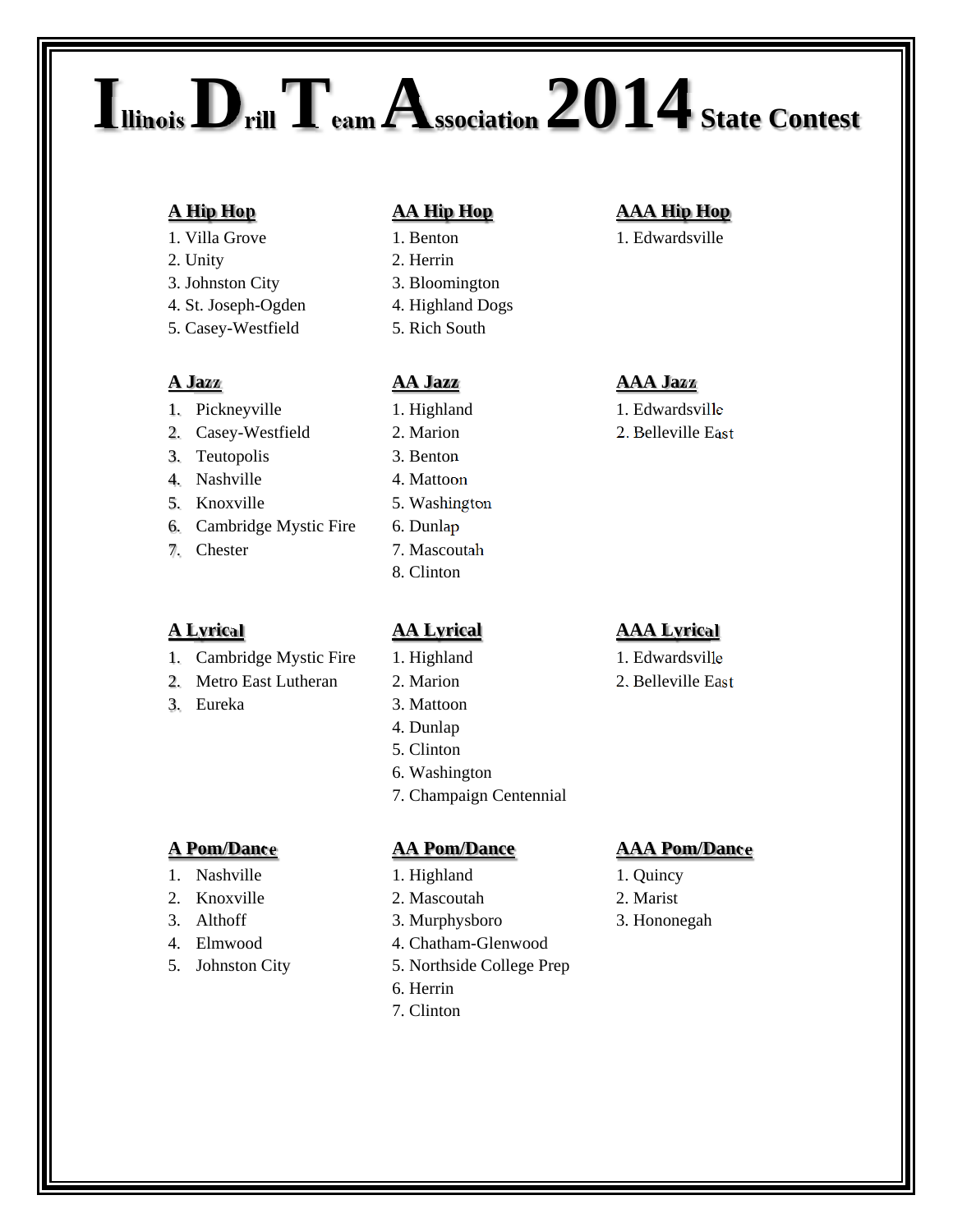## **IllinoisDrillTeam Association 2014 State Contest**

- 
- 2. Unity 2. Herrin
- 3. Johnston City 3. Bloomington
- 4. St. Joseph-Ogden 4. Highland Dogs
- 5. Casey-Westfield 5. Rich South

- 1. Pickneyville 1. Highland 1. Edwardsville
- 2. Casey-Westfield 2. Marion 2. Belleville East
- 3. Teutopolis 3. Benton
- 4. Nashville 4. Mattoon
- 
- 6. Cambridge Mystic Fire 6. Dunlap
- 

- 1. Cambridge Mystic Fire 1. Highland 1. Edwardsville
- 2. Metro East Lutheran 2. Marion 2. Belleville East
- 

- 1. Nashville 1. Highland 1. Quincy
- 2. Knoxville 2. Mascoutah 2. Marist
- 
- 
- 

- 
- 
- 
- 
- 

- 
- 
- 
- 
- 5. Knoxville 5. Washington
	-
- 7. Chester 7. Mascoutah
	- 8. Clinton

- 
- 
- 3. Eureka 3. Mattoon
	- 4. Dunlap
	- 5. Clinton
	- 6. Washington
	- 7. Champaign Centennial

- 
- 
- 3. Althoff 3. Murphysboro 3. Hononegah
- 4. Elmwood 4. Chatham-Glenwood
- 5. Johnston City 5. Northside College Prep
	- 6. Herrin
	- 7. Clinton

## **A Hip Hop AA Hip Hop AAA Hip Hop**

1. Villa Grove 1. Benton 1. Benton 1. Edwardsville

## **A Jazz AA Jazz AAA Jazz**

- 
- 

## **A Lyrical AA Lyrical AAA Lyrical**

- 
- 

## **A Pom/Dance AA Pom/Dance AAA Pom/Dance**

- 
- 
-